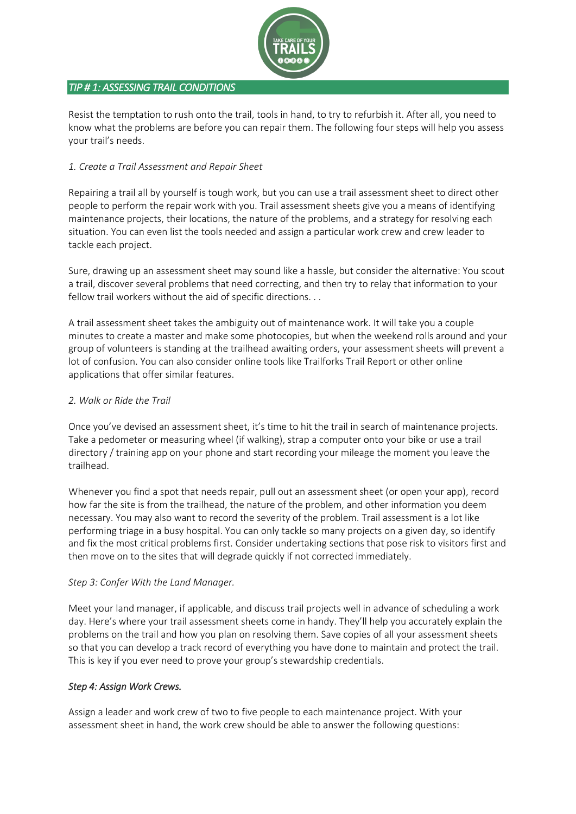

# *TIP # 1: ASSESSING TRAIL CONDITIONS*

Resist the temptation to rush onto the trail, tools in hand, to try to refurbish it. After all, you need to know what the problems are before you can repair them. The following four steps will help you assess your trail's needs.

# *1. Create a Trail Assessment and Repair Sheet*

Repairing a trail all by yourself is tough work, but you can use a trail assessment sheet to direct other people to perform the repair work with you. Trail assessment sheets give you a means of identifying maintenance projects, their locations, the nature of the problems, and a strategy for resolving each situation. You can even list the tools needed and assign a particular work crew and crew leader to tackle each project.

Sure, drawing up an assessment sheet may sound like a hassle, but consider the alternative: You scout a trail, discover several problems that need correcting, and then try to relay that information to your fellow trail workers without the aid of specific directions. . .

A trail assessment sheet takes the ambiguity out of maintenance work. It will take you a couple minutes to create a master and make some photocopies, but when the weekend rolls around and your group of volunteers is standing at the trailhead awaiting orders, your assessment sheets will prevent a lot of confusion. You can also consider online tools like Trailforks Trail Report or other online applications that offer similar features.

# *2. Walk or Ride the Trail*

Once you've devised an assessment sheet, it's time to hit the trail in search of maintenance projects. Take a pedometer or measuring wheel (if walking), strap a computer onto your bike or use a trail directory / training app on your phone and start recording your mileage the moment you leave the trailhead.

Whenever you find a spot that needs repair, pull out an assessment sheet (or open your app), record how far the site is from the trailhead, the nature of the problem, and other information you deem necessary. You may also want to record the severity of the problem. Trail assessment is a lot like performing triage in a busy hospital. You can only tackle so many projects on a given day, so identify and fix the most critical problems first. Consider undertaking sections that pose risk to visitors first and then move on to the sites that will degrade quickly if not corrected immediately.

# *Step 3: Confer With the Land Manager.*

Meet your land manager, if applicable, and discuss trail projects well in advance of scheduling a work day. Here's where your trail assessment sheets come in handy. They'll help you accurately explain the problems on the trail and how you plan on resolving them. Save copies of all your assessment sheets so that you can develop a track record of everything you have done to maintain and protect the trail. This is key if you ever need to prove your group's stewardship credentials.

# *Step 4: Assign Work Crews.*

Assign a leader and work crew of two to five people to each maintenance project. With your assessment sheet in hand, the work crew should be able to answer the following questions: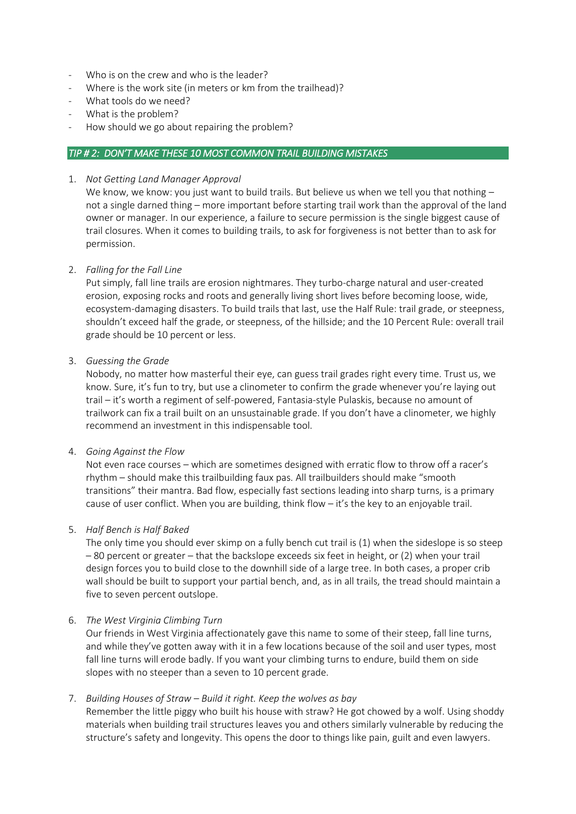- Who is on the crew and who is the leader?
- Where is the work site (in meters or km from the trailhead)?
- What tools do we need?
- What is the problem?
- How should we go about repairing the problem?

### *TIP # 2: DON'T MAKE THESE 10 MOST COMMON TRAIL BUILDING MISTAKES*

1. *Not Getting Land Manager Approval*

We know, we know: you just want to build trails. But believe us when we tell you that nothing  $$ not a single darned thing – more important before starting trail work than the approval of the land owner or manager. In our experience, a failure to secure permission is the single biggest cause of trail closures. When it comes to building trails, to ask for forgiveness is not better than to ask for permission.

#### 2. *Falling for the Fall Line*

Put simply, fall line trails are erosion nightmares. They turbo-charge natural and user-created erosion, exposing rocks and roots and generally living short lives before becoming loose, wide, ecosystem-damaging disasters. To build trails that last, use the Half Rule: trail grade, or steepness, shouldn't exceed half the grade, or steepness, of the hillside; and the 10 Percent Rule: overall trail grade should be 10 percent or less.

#### 3. *Guessing the Grade*

Nobody, no matter how masterful their eye, can guess trail grades right every time. Trust us, we know. Sure, it's fun to try, but use a clinometer to confirm the grade whenever you're laying out trail – it's worth a regiment of self-powered, Fantasia-style Pulaskis, because no amount of trailwork can fix a trail built on an unsustainable grade. If you don't have a clinometer, we highly recommend an investment in this indispensable tool.

#### 4. *Going Against the Flow*

Not even race courses – which are sometimes designed with erratic flow to throw off a racer's rhythm – should make this trailbuilding faux pas. All trailbuilders should make "smooth transitions" their mantra. Bad flow, especially fast sections leading into sharp turns, is a primary cause of user conflict. When you are building, think flow – it's the key to an enjoyable trail.

# 5. *Half Bench is Half Baked*

The only time you should ever skimp on a fully bench cut trail is (1) when the sideslope is so steep – 80 percent or greater – that the backslope exceeds six feet in height, or (2) when your trail design forces you to build close to the downhill side of a large tree. In both cases, a proper crib wall should be built to support your partial bench, and, as in all trails, the tread should maintain a five to seven percent outslope.

#### 6. *The West Virginia Climbing Turn*

Our friends in West Virginia affectionately gave this name to some of their steep, fall line turns, and while they've gotten away with it in a few locations because of the soil and user types, most fall line turns will erode badly. If you want your climbing turns to endure, build them on side slopes with no steeper than a seven to 10 percent grade.

# 7. *Building Houses of Straw – Build it right. Keep the wolves as bay*

Remember the little piggy who built his house with straw? He got chowed by a wolf. Using shoddy materials when building trail structures leaves you and others similarly vulnerable by reducing the structure's safety and longevity. This opens the door to things like pain, guilt and even lawyers.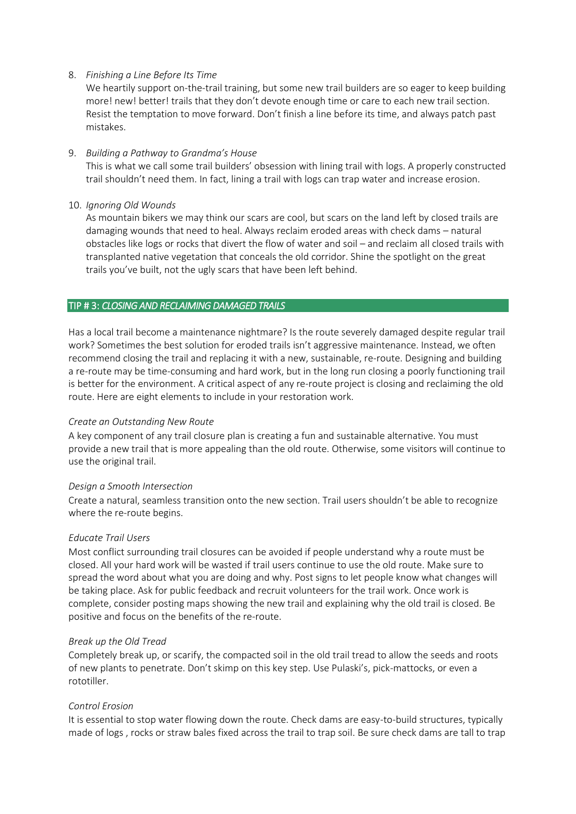### 8. *Finishing a Line Before Its Time*

We heartily support on-the-trail training, but some new trail builders are so eager to keep building more! new! better! trails that they don't devote enough time or care to each new trail section. Resist the temptation to move forward. Don't finish a line before its time, and always patch past mistakes.

### 9. *Building a Pathway to Grandma's House*

This is what we call some trail builders' obsession with lining trail with logs. A properly constructed trail shouldn't need them. In fact, lining a trail with logs can trap water and increase erosion.

### 10. *Ignoring Old Wounds*

As mountain bikers we may think our scars are cool, but scars on the land left by closed trails are damaging wounds that need to heal. Always reclaim eroded areas with check dams – natural obstacles like logs or rocks that divert the flow of water and soil – and reclaim all closed trails with transplanted native vegetation that conceals the old corridor. Shine the spotlight on the great trails you've built, not the ugly scars that have been left behind.

### TIP # 3: *CLOSING AND RECLAIMING DAMAGED TRAILS*

Has a local trail become a maintenance nightmare? Is the route severely damaged despite regular trail work? Sometimes the best solution for eroded trails isn't aggressive maintenance. Instead, we often recommend closing the trail and replacing it with a new, sustainable, re-route. Designing and building a re-route may be time-consuming and hard work, but in the long run closing a poorly functioning trail is better for the environment. A critical aspect of any re-route project is closing and reclaiming the old route. Here are eight elements to include in your restoration work.

# *Create an Outstanding New Route*

A key component of any trail closure plan is creating a fun and sustainable alternative. You must provide a new trail that is more appealing than the old route. Otherwise, some visitors will continue to use the original trail.

#### *Design a Smooth Intersection*

Create a natural, seamless transition onto the new section. Trail users shouldn't be able to recognize where the re-route begins.

#### *Educate Trail Users*

Most conflict surrounding trail closures can be avoided if people understand why a route must be closed. All your hard work will be wasted if trail users continue to use the old route. Make sure to spread the word about what you are doing and why. Post signs to let people know what changes will be taking place. Ask for public feedback and recruit volunteers for the trail work. Once work is complete, consider posting maps showing the new trail and explaining why the old trail is closed. Be positive and focus on the benefits of the re-route.

#### *Break up the Old Tread*

Completely break up, or scarify, the compacted soil in the old trail tread to allow the seeds and roots of new plants to penetrate. Don't skimp on this key step. Use Pulaski's, pick-mattocks, or even a rototiller.

# *Control Erosion*

It is essential to stop water flowing down the route. Check dams are easy-to-build structures, typically made of logs , rocks or straw bales fixed across the trail to trap soil. Be sure check dams are tall to trap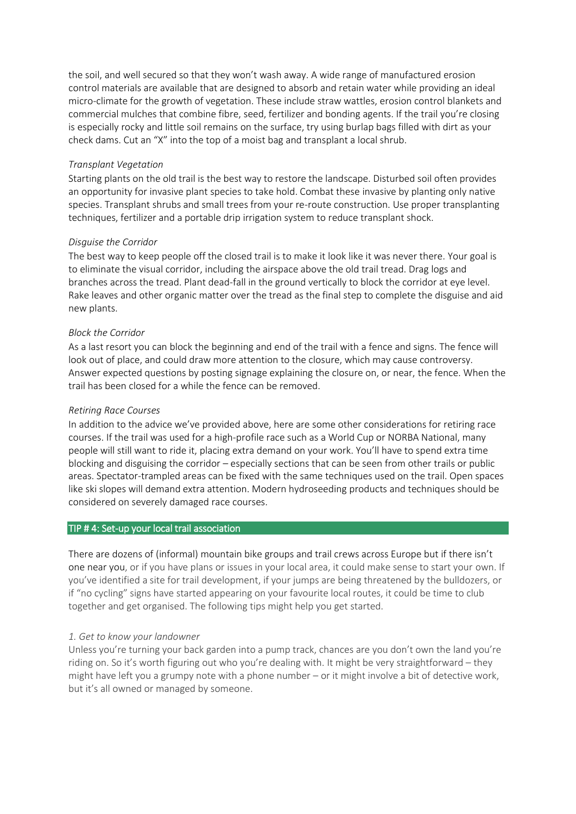the soil, and well secured so that they won't wash away. A wide range of manufactured erosion control materials are available that are designed to absorb and retain water while providing an ideal micro-climate for the growth of vegetation. These include straw wattles, erosion control blankets and commercial mulches that combine fibre, seed, fertilizer and bonding agents. If the trail you're closing is especially rocky and little soil remains on the surface, try using burlap bags filled with dirt as your check dams. Cut an "X" into the top of a moist bag and transplant a local shrub.

#### *Transplant Vegetation*

Starting plants on the old trail is the best way to restore the landscape. Disturbed soil often provides an opportunity for invasive plant species to take hold. Combat these invasive by planting only native species. Transplant shrubs and small trees from your re-route construction. Use proper transplanting techniques, fertilizer and a portable drip irrigation system to reduce transplant shock.

### *Disguise the Corridor*

The best way to keep people off the closed trail is to make it look like it was never there. Your goal is to eliminate the visual corridor, including the airspace above the old trail tread. Drag logs and branches across the tread. Plant dead-fall in the ground vertically to block the corridor at eye level. Rake leaves and other organic matter over the tread as the final step to complete the disguise and aid new plants.

### *Block the Corridor*

As a last resort you can block the beginning and end of the trail with a fence and signs. The fence will look out of place, and could draw more attention to the closure, which may cause controversy. Answer expected questions by posting signage explaining the closure on, or near, the fence. When the trail has been closed for a while the fence can be removed.

### *Retiring Race Courses*

In addition to the advice we've provided above, here are some other considerations for retiring race courses. If the trail was used for a high-profile race such as a World Cup or NORBA National, many people will still want to ride it, placing extra demand on your work. You'll have to spend extra time blocking and disguising the corridor – especially sections that can be seen from other trails or public areas. Spectator-trampled areas can be fixed with the same techniques used on the trail. Open spaces like ski slopes will demand extra attention. Modern hydroseeding products and techniques should be considered on severely damaged race courses.

#### TIP # 4: Set-up your local trail association

There are dozens of (informal) mountain bike groups and trail crews across Europe but if there isn't one near you, or if you have plans or issues in your local area, it could make sense to start your own. If you've identified a site for trail development, if your jumps are being threatened by the bulldozers, or if "no cycling" signs have started appearing on your favourite local routes, it could be time to club together and get organised. The following tips might help you get started.

#### *1. Get to know your landowner*

Unless you're turning your back garden into a pump track, chances are you don't own the land you're riding on. So it's worth figuring out who you're dealing with. It might be very straightforward – they might have left you a grumpy note with a phone number – or it might involve a bit of detective work, but it's all owned or managed by someone.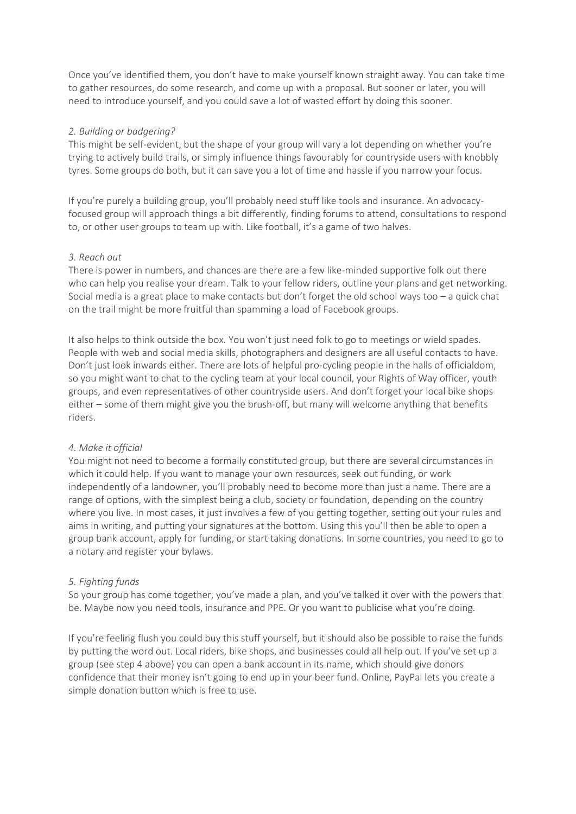Once you've identified them, you don't have to make yourself known straight away. You can take time to gather resources, do some research, and come up with a proposal. But sooner or later, you will need to introduce yourself, and you could save a lot of wasted effort by doing this sooner.

### *2. Building or badgering?*

This might be self-evident, but the shape of your group will vary a lot depending on whether you're trying to actively build trails, or simply influence things favourably for countryside users with knobbly tyres. Some groups do both, but it can save you a lot of time and hassle if you narrow your focus.

If you're purely a building group, you'll probably need stuff like tools and insurance. An advocacyfocused group will approach things a bit differently, finding forums to attend, consultations to respond to, or other user groups to team up with. Like football, it's a game of two halves.

### *3. Reach out*

There is power in numbers, and chances are there are a few like-minded supportive folk out there who can help you realise your dream. Talk to your fellow riders, outline your plans and get networking. Social media is a great place to make contacts but don't forget the old school ways too – a quick chat on the trail might be more fruitful than spamming a load of Facebook groups.

It also helps to think outside the box. You won't just need folk to go to meetings or wield spades. People with web and social media skills, photographers and designers are all useful contacts to have. Don't just look inwards either. There are lots of helpful pro-cycling people in the halls of officialdom, so you might want to chat to the cycling team at your local council, your Rights of Way officer, youth groups, and even representatives of other countryside users. And don't forget your local bike shops either – some of them might give you the brush-off, but many will welcome anything that benefits riders.

#### *4. Make it official*

You might not need to become a formally constituted group, but there are several circumstances in which it could help. If you want to manage your own resources, seek out funding, or work independently of a landowner, you'll probably need to become more than just a name. There are a range of options, with the simplest being a club, society or foundation, depending on the country where you live. In most cases, it just involves a few of you getting together, setting out your rules and aims in writing, and putting your signatures at the bottom. Using this you'll then be able to open a group bank account, apply for funding, or start taking donations. In some countries, you need to go to a notary and register your bylaws.

# *5. Fighting funds*

So your group has come together, you've made a plan, and you've talked it over with the powers that be. Maybe now you need tools, insurance and PPE. Or you want to publicise what you're doing.

If you're feeling flush you could buy this stuff yourself, but it should also be possible to raise the funds by putting the word out. Local riders, bike shops, and businesses could all help out. If you've set up a group (see step 4 above) you can open a bank account in its name, which should give donors confidence that their money isn't going to end up in your beer fund. Online, PayPal lets you create a simple donation button which is free to use.